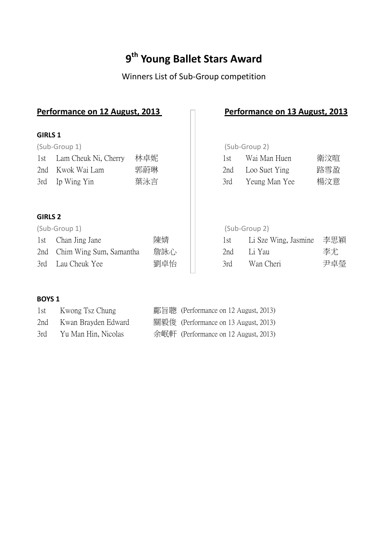# **9 th Young Ballet Stars Award**

# Winners List of Sub-Group competition

|                | Performance on 12 August, 2013 |     |     |     | Performance on 13 August, 2013 |     |
|----------------|--------------------------------|-----|-----|-----|--------------------------------|-----|
| <b>GIRLS 1</b> |                                |     |     |     |                                |     |
|                | (Sub-Group 1)                  |     |     |     | (Sub-Group 2)                  |     |
| 1st            | Lam Cheuk Ni, Cherry           | 林卓妮 |     | 1st | Wai Man Huen                   | 衛汶暄 |
| 2nd            | Kwok Wai Lam                   | 郭蔚琳 |     | 2nd | Loo Suet Ying                  | 路雪盈 |
| 3rd            | Ip Wing Yin                    | 葉泳言 |     | 3rd | Yeung Man Yee                  | 楊汶意 |
| <b>GIRLS 2</b> |                                |     |     |     |                                |     |
|                | (Sub-Group 1)                  |     |     |     | (Sub-Group 2)                  |     |
| 1st            | Chan Jing Jane                 |     | 陳婧  | 1st | Li Sze Wing, Jasmine           | 李思穎 |
| 2nd            | Chim Wing Sum, Samantha        |     | 詹詠心 | 2nd | Li Yau                         | 李尤  |
| 3rd            | Lau Cheuk Yee                  |     | 劉卓怡 | 3rd | Wan Cheri                      | 尹卓瑩 |

### **BOYS 1**

| 1st | Kwong Tsz Chung         | 鄺旨聰 (Performance on 12 August, 2013) |
|-----|-------------------------|--------------------------------------|
|     | 2nd Kwan Brayden Edward | 關毅俊 (Performance on 13 August, 2013) |
| 3rd | Yu Man Hin, Nicolas     | 余岷軒 (Performance on 12 August, 2013) |